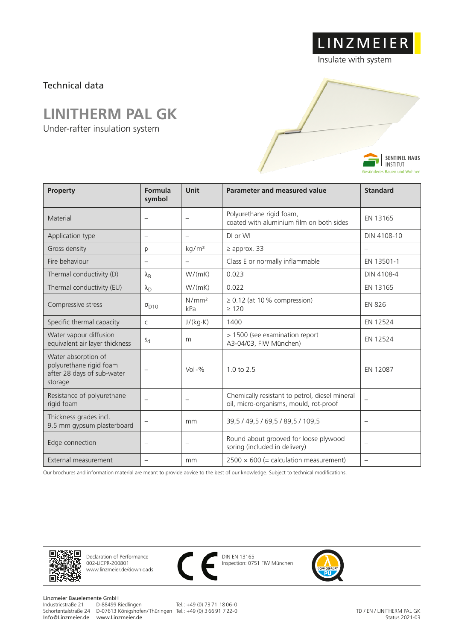## Technical data

## **LINITHERM PAL GK**

Under-rafter insulation system



LINZMEIER

Insulate with system

| <b>Froperty</b>                                                                         | romuud<br>symbol         | umu                               | Parameter and measured value                                                             | Stanuaru                 |
|-----------------------------------------------------------------------------------------|--------------------------|-----------------------------------|------------------------------------------------------------------------------------------|--------------------------|
| Material                                                                                |                          | $\overline{\phantom{m}}$          | Polyurethane rigid foam,<br>coated with aluminium film on both sides                     | EN 13165                 |
| Application type                                                                        | $\overline{\phantom{0}}$ | $\overline{\phantom{m}}$          | DI or WI                                                                                 | DIN 4108-10              |
| Gross density                                                                           | ρ                        | kg/m <sup>3</sup>                 | $\geq$ approx. 33                                                                        |                          |
| Fire behaviour                                                                          |                          | $\overline{\phantom{m}}$          | Class E or normally inflammable                                                          | EN 13501-1               |
| Thermal conductivity (D)                                                                | $\lambda_{\mathsf{B}}$   | W/(mK)                            | 0.023                                                                                    | DIN 4108-4               |
| Thermal conductivity (EU)                                                               | $\lambda_{\rm D}$        | W/(mK)                            | 0.022                                                                                    | EN 13165                 |
| Compressive stress                                                                      | $\sigma_{D10}$           | N/mm <sup>2</sup><br>kPa          | $\geq$ 0.12 (at 10% compression)<br>>120                                                 | <b>EN 826</b>            |
| Specific thermal capacity                                                               | $\mathsf{C}$             | J/(kg·K)                          | 1400                                                                                     | EN 12524                 |
| Water vapour diffusion<br>equivalent air layer thickness                                | $S_{d}$                  | m                                 | > 1500 (see examination report<br>A3-04/03, FIW München)                                 | EN 12524                 |
| Water absorption of<br>polyurethane rigid foam<br>after 28 days of sub-water<br>storage | $\overline{\phantom{0}}$ | $Vol - %$                         | $1.0 \text{ to } 2.5$                                                                    | EN 12087                 |
| Resistance of polyurethane<br>rigid foam                                                | $\overline{\phantom{0}}$ | $\overbrace{\phantom{123221111}}$ | Chemically resistant to petrol, diesel mineral<br>oil, micro-organisms, mould, rot-proof |                          |
| Thickness grades incl.<br>9.5 mm gypsum plasterboard                                    |                          | mm                                | 39,5 / 49,5 / 69,5 / 89,5 / 109,5                                                        | $\overline{\phantom{0}}$ |
| Edge connection                                                                         |                          | $\overline{\phantom{m}}$          | Round about grooved for loose plywood<br>spring (included in delivery)                   | $\overline{\phantom{m}}$ |
| External measurement                                                                    |                          | mm                                | $2500 \times 600$ (= calculation measurement)                                            | $\overline{\phantom{0}}$ |

Our brochures and information material are meant to provide advice to the best of our knowledge. Subject to technical modifications.



Declaration of Performance 002-LICPR-200801 www.linzmeier.de/downloads



DIN EN 13165 Inspection: 0751 FIW München



TD / EN / LINITHERM PAL GK Status 2021-03

Linzmeier Bauelemente GmbH<br>Industriestraße 21 D-88499 Riedlingen Schortentalstraße 24 D-07613 Königshofen/ Thüringen Tel.: +49 (0) 3 66 91 7 22-0 Info@Linzmeier.de www.Linzmeier.de

Tel.: +49 (0) 73 71 18 06-0